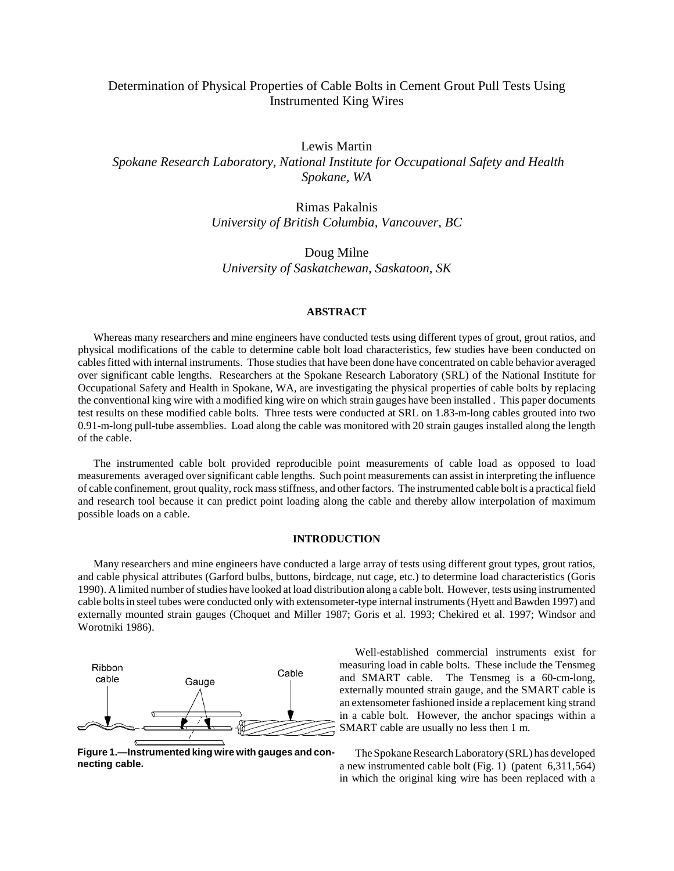# Determination of Physical Properties of Cable Bolts in Cement Grout Pull Tests Using Instrumented King Wires

Lewis Martin  *Spokane Research Laboratory, National Institute for Occupational Safety and Health Spokane, WA*

> Rimas Pakalnis *University of British Columbia, Vancouver, BC*

Doug Milne *University of Saskatchewan, Saskatoon, SK*

### **ABSTRACT**

Whereas many researchers and mine engineers have conducted tests using different types of grout, grout ratios, and physical modifications of the cable to determine cable bolt load characteristics, few studies have been conducted on cables fitted with internal instruments. Those studies that have been done have concentrated on cable behavior averaged over significant cable lengths. Researchers at the Spokane Research Laboratory (SRL) of the National Institute for Occupational Safety and Health in Spokane, WA, are investigating the physical properties of cable bolts by replacing the conventional king wire with a modified king wire on which strain gauges have been installed . This paper documents test results on these modified cable bolts. Three tests were conducted at SRL on 1.83-m-long cables grouted into two 0.91-m-long pull-tube assemblies. Load along the cable was monitored with 20 strain gauges installed along the length of the cable.

The instrumented cable bolt provided reproducible point measurements of cable load as opposed to load measurements averaged over significant cable lengths. Such point measurements can assist in interpreting the influence of cable confinement, grout quality, rock mass stiffness, and other factors. The instrumented cable bolt is a practical field and research tool because it can predict point loading along the cable and thereby allow interpolation of maximum possible loads on a cable.

# **INTRODUCTION**

Many researchers and mine engineers have conducted a large array of tests using different grout types, grout ratios, and cable physical attributes (Garford bulbs, buttons, birdcage, nut cage, etc.) to determine load characteristics (Goris 1990). A limited number of studies have looked at load distribution along a cable bolt. However, tests using instrumented cable bolts in steel tubes were conducted only with extensometer-type internal instruments (Hyett and Bawden 1997) and externally mounted strain gauges (Choquet and Miller 1987; Goris et al. 1993; Chekired et al. 1997; Windsor and Worotniki 1986).



**Figure 1.—Instrumented king wire with gauges and connecting cable.** 

Well-established commercial instruments exist for measuring load in cable bolts. These include the Tensmeg and SMART cable. The Tensmeg is a 60-cm-long, externally mounted strain gauge, and the SMART cable is an extensometer fashioned inside a replacement king strand in a cable bolt. However, the anchor spacings within a SMART cable are usually no less then 1 m.

The Spokane Research Laboratory (SRL) has developed a new instrumented cable bolt (Fig. 1) (patent 6,311,564) in which the original king wire has been replaced with a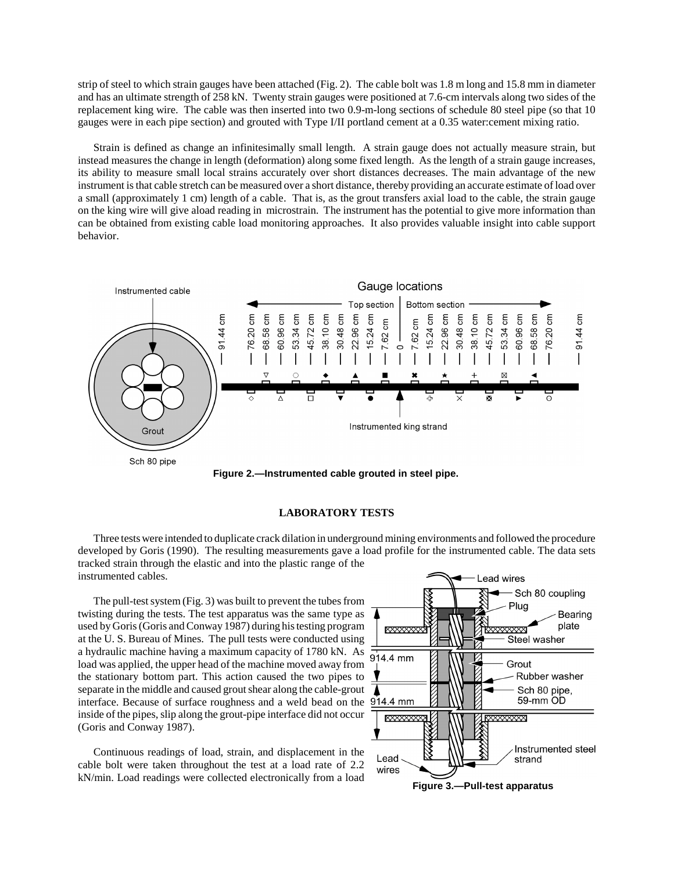strip of steel to which strain gauges have been attached (Fig. 2). The cable bolt was 1.8 m long and 15.8 mm in diameter and has an ultimate strength of 258 kN. Twenty strain gauges were positioned at 7.6-cm intervals along two sides of the replacement king wire. The cable was then inserted into two 0.9-m-long sections of schedule 80 steel pipe (so that 10 gauges were in each pipe section) and grouted with Type I/II portland cement at a 0.35 water:cement mixing ratio.

Strain is defined as change an infinitesimally small length. A strain gauge does not actually measure strain, but instead measures the change in length (deformation) along some fixed length. As the length of a strain gauge increases, its ability to measure small local strains accurately over short distances decreases. The main advantage of the new instrument is that cable stretch can be measured over a short distance, thereby providing an accurate estimate of load over a small (approximately 1 cm) length of a cable. That is, as the grout transfers axial load to the cable, the strain gauge on the king wire will give aload reading in microstrain. The instrument has the potential to give more information than can be obtained from existing cable load monitoring approaches. It also provides valuable insight into cable support behavior.



**Figure 2.—Instrumented cable grouted in steel pipe.**

# **LABORATORY TESTS**

Three tests were intended to duplicate crack dilation in underground mining environments and followed the procedure developed by Goris (1990). The resulting measurements gave a load profile for the instrumented cable. The data sets tracked strain through the elastic and into the plastic range of the instrumented cables.

The pull-test system (Fig. 3) was built to prevent the tubes from twisting during the tests. The test apparatus was the same type as used by Goris (Goris and Conway 1987) during his testing program at the U. S. Bureau of Mines. The pull tests were conducted using a hydraulic machine having a maximum capacity of 1780 kN. As load was applied, the upper head of the machine moved away from the stationary bottom part. This action caused the two pipes to separate in the middle and caused grout shear along the cable-grout interface. Because of surface roughness and a weld bead on the inside of the pipes, slip along the grout-pipe interface did not occur (Goris and Conway 1987).

Continuous readings of load, strain, and displacement in the cable bolt were taken throughout the test at a load rate of 2.2 kN/min. Load readings were collected electronically from a load

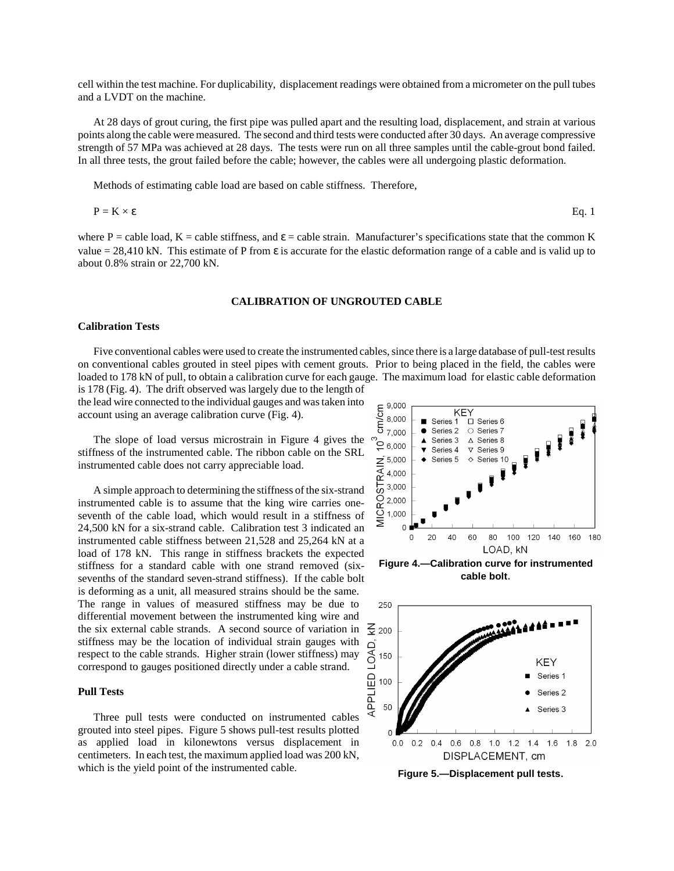cell within the test machine. For duplicability, displacement readings were obtained from a micrometer on the pull tubes and a LVDT on the machine.

At 28 days of grout curing, the first pipe was pulled apart and the resulting load, displacement, and strain at various points along the cable were measured. The second and third tests were conducted after 30 days. An average compressive strength of 57 MPa was achieved at 28 days. The tests were run on all three samples until the cable-grout bond failed. In all three tests, the grout failed before the cable; however, the cables were all undergoing plastic deformation.

Methods of estimating cable load are based on cable stiffness. Therefore,

$$
P = K \times \varepsilon
$$
 Eq. 1

where P = cable load, K = cable stiffness, and  $\varepsilon$  = cable strain. Manufacturer's specifications state that the common K value = 28,410 kN. This estimate of P from  $\varepsilon$  is accurate for the elastic deformation range of a cable and is valid up to about 0.8% strain or 22,700 kN.

### **CALIBRATION OF UNGROUTED CABLE**

# **Calibration Tests**

Five conventional cables were used to create the instrumented cables, since there is a large database of pull-test results on conventional cables grouted in steel pipes with cement grouts. Prior to being placed in the field, the cables were loaded to 178 kN of pull, to obtain a calibration curve for each gauge. The maximum load for elastic cable deformation

is 178 (Fig. 4). The drift observed was largely due to the length of the lead wire connected to the individual gauges and was taken into account using an average calibration curve (Fig. 4).

The slope of load versus microstrain in Figure 4 gives the stiffness of the instrumented cable. The ribbon cable on the SRL instrumented cable does not carry appreciable load.

A simple approach to determining the stiffness of the six-strand instrumented cable is to assume that the king wire carries oneseventh of the cable load, which would result in a stiffness of 24,500 kN for a six-strand cable. Calibration test 3 indicated an instrumented cable stiffness between 21,528 and 25,264 kN at a load of 178 kN. This range in stiffness brackets the expected stiffness for a standard cable with one strand removed (sixsevenths of the standard seven-strand stiffness). If the cable bolt is deforming as a unit, all measured strains should be the same. The range in values of measured stiffness may be due to differential movement between the instrumented king wire and the six external cable strands. A second source of variation in  $\frac{2}{3}$  200 stiffness may be the location of individual strain gauges with respect to the cable strands. Higher strain (lower stiffness) may correspond to gauges positioned directly under a cable strand.

#### **Pull Tests**

Three pull tests were conducted on instrumented cables grouted into steel pipes. Figure 5 shows pull-test results plotted as applied load in kilonewtons versus displacement in centimeters. In each test, the maximum applied load was 200 kN, which is the yield point of the instrumented cable.



**cable bolt**.



**Figure 5.—Displacement pull tests**.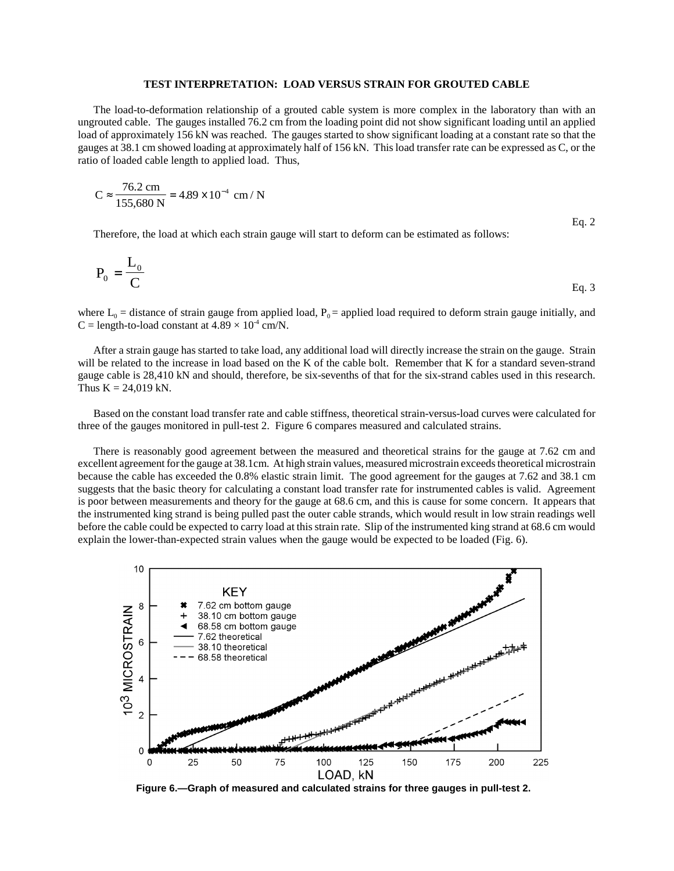## **TEST INTERPRETATION: LOAD VERSUS STRAIN FOR GROUTED CABLE**

The load-to-deformation relationship of a grouted cable system is more complex in the laboratory than with an ungrouted cable. The gauges installed 76.2 cm from the loading point did not show significant loading until an applied load of approximately 156 kN was reached. The gauges started to show significant loading at a constant rate so that the gauges at 38.1 cm showed loading at approximately half of 156 kN. This load transfer rate can be expressed as C, or the ratio of loaded cable length to applied load. Thus,

$$
C \approx \frac{76.2 \text{ cm}}{155,680 \text{ N}} = 4.89 \times 10^{-4} \text{ cm} / \text{N}
$$

Therefore, the load at which each strain gauge will start to deform can be estimated as follows:

$$
P_0 = \frac{L_0}{C}
$$
 Eq. 3

Eq. 2

where  $L_0$  = distance of strain gauge from applied load,  $P_0$  = applied load required to deform strain gauge initially, and C = length-to-load constant at  $4.89 \times 10^4$  cm/N.

After a strain gauge has started to take load, any additional load will directly increase the strain on the gauge. Strain will be related to the increase in load based on the K of the cable bolt. Remember that K for a standard seven-strand gauge cable is 28,410 kN and should, therefore, be six-sevenths of that for the six-strand cables used in this research. Thus  $K = 24,019$  kN.

Based on the constant load transfer rate and cable stiffness, theoretical strain-versus-load curves were calculated for three of the gauges monitored in pull-test 2. Figure 6 compares measured and calculated strains.

There is reasonably good agreement between the measured and theoretical strains for the gauge at 7.62 cm and excellent agreement for the gauge at 38.1cm. At high strain values, measured microstrain exceeds theoretical microstrain because the cable has exceeded the 0.8% elastic strain limit. The good agreement for the gauges at 7.62 and 38.1 cm suggests that the basic theory for calculating a constant load transfer rate for instrumented cables is valid. Agreement is poor between measurements and theory for the gauge at 68.6 cm, and this is cause for some concern. It appears that the instrumented king strand is being pulled past the outer cable strands, which would result in low strain readings well before the cable could be expected to carry load at this strain rate. Slip of the instrumented king strand at 68.6 cm would explain the lower-than-expected strain values when the gauge would be expected to be loaded (Fig. 6).



**Figure 6.—Graph of measured and calculated strains for three gauges in pull-test 2.**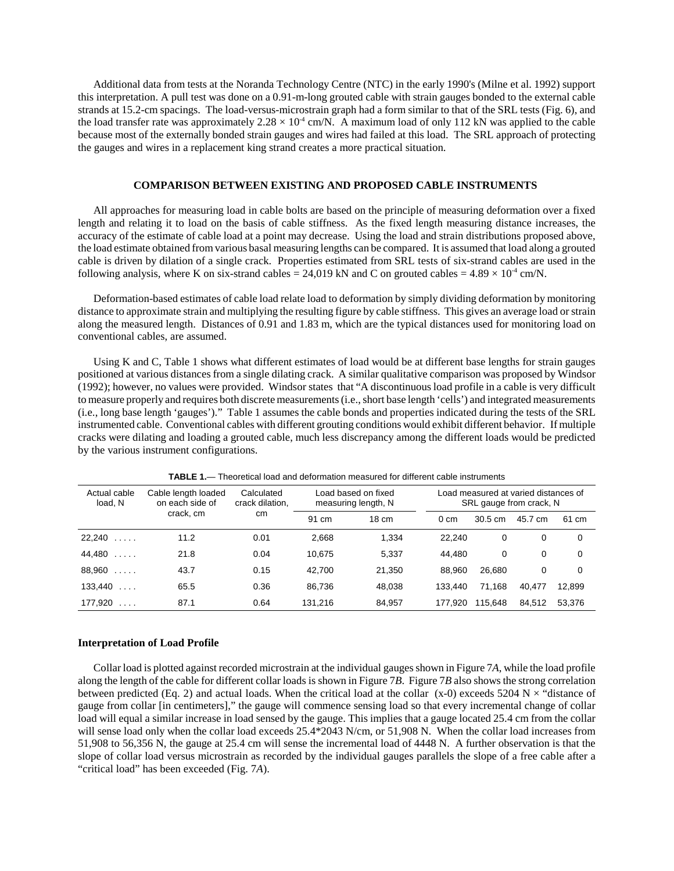Additional data from tests at the Noranda Technology Centre (NTC) in the early 1990's (Milne et al. 1992) support this interpretation. A pull test was done on a 0.91-m-long grouted cable with strain gauges bonded to the external cable strands at 15.2-cm spacings. The load-versus-microstrain graph had a form similar to that of the SRL tests (Fig. 6), and the load transfer rate was approximately  $2.28 \times 10^4$  cm/N. A maximum load of only 112 kN was applied to the cable because most of the externally bonded strain gauges and wires had failed at this load. The SRL approach of protecting the gauges and wires in a replacement king strand creates a more practical situation.

### **COMPARISON BETWEEN EXISTING AND PROPOSED CABLE INSTRUMENTS**

All approaches for measuring load in cable bolts are based on the principle of measuring deformation over a fixed length and relating it to load on the basis of cable stiffness. As the fixed length measuring distance increases, the accuracy of the estimate of cable load at a point may decrease. Using the load and strain distributions proposed above, the load estimate obtained from various basal measuring lengths can be compared. It is assumed that load along a grouted cable is driven by dilation of a single crack. Properties estimated from SRL tests of six-strand cables are used in the following analysis, where K on six-strand cables = 24,019 kN and C on grouted cables =  $4.89 \times 10^{-4}$  cm/N.

Deformation-based estimates of cable load relate load to deformation by simply dividing deformation by monitoring distance to approximate strain and multiplying the resulting figure by cable stiffness. This gives an average load or strain along the measured length. Distances of 0.91 and 1.83 m, which are the typical distances used for monitoring load on conventional cables, are assumed.

Using K and C, Table 1 shows what different estimates of load would be at different base lengths for strain gauges positioned at various distances from a single dilating crack. A similar qualitative comparison was proposed by Windsor (1992); however, no values were provided. Windsor states that "A discontinuous load profile in a cable is very difficult to measure properly and requires both discrete measurements (i.e., short base length 'cells') and integrated measurements (i.e., long base length 'gauges')." Table 1 assumes the cable bonds and properties indicated during the tests of the SRL instrumented cable. Conventional cables with different grouting conditions would exhibit different behavior. If multiple cracks were dilating and loading a grouted cable, much less discrepancy among the different loads would be predicted by the various instrument configurations.

| Actual cable<br>load, N | Cable length loaded<br>on each side of | Calculated<br>crack dilation.<br>cm | Load based on fixed<br>measuring length, N |                 | Load measured at varied distances of<br>SRL gauge from crack, N |         |         |          |
|-------------------------|----------------------------------------|-------------------------------------|--------------------------------------------|-----------------|-----------------------------------------------------------------|---------|---------|----------|
|                         | crack, cm                              |                                     | 91 cm                                      | $18 \text{ cm}$ | $0 \, \text{cm}$                                                | 30.5 cm | 45.7 cm | 61 cm    |
| 22,240<br>1.1.1.1       | 11.2                                   | 0.01                                | 2,668                                      | 1.334           | 22.240                                                          | 0       | 0       | 0        |
| 44,480<br>1.1.1.1       | 21.8                                   | 0.04                                | 10.675                                     | 5,337           | 44.480                                                          | 0       | 0       | 0        |
| 88,960<br>1.1.1.1       | 43.7                                   | 0.15                                | 42.700                                     | 21.350          | 88.960                                                          | 26.680  | 0       | $\Omega$ |
| 133.440<br>$\cdot$      | 65.5                                   | 0.36                                | 86.736                                     | 48.038          | 133.440                                                         | 71.168  | 40.477  | 12.899   |
| 177.920<br>$\cdot$      | 87.1                                   | 0.64                                | 131.216                                    | 84.957          | 177.920                                                         | 115.648 | 84.512  | 53.376   |

**TABLE 1.**— Theoretical load and deformation measured for different cable instruments

#### **Interpretation of Load Profile**

Collar load is plotted against recorded microstrain at the individual gauges shown in Figure 7*A*, while the load profile along the length of the cable for different collar loads is shown in Figure 7*B*. Figure 7*B* also shows the strong correlation between predicted (Eq. 2) and actual loads. When the critical load at the collar (x-0) exceeds 5204 N  $\times$  "distance of gauge from collar [in centimeters]," the gauge will commence sensing load so that every incremental change of collar load will equal a similar increase in load sensed by the gauge. This implies that a gauge located 25.4 cm from the collar will sense load only when the collar load exceeds 25.4\*2043 N/cm, or 51,908 N. When the collar load increases from 51,908 to 56,356 N, the gauge at 25.4 cm will sense the incremental load of 4448 N. A further observation is that the slope of collar load versus microstrain as recorded by the individual gauges parallels the slope of a free cable after a "critical load" has been exceeded (Fig. 7*A*).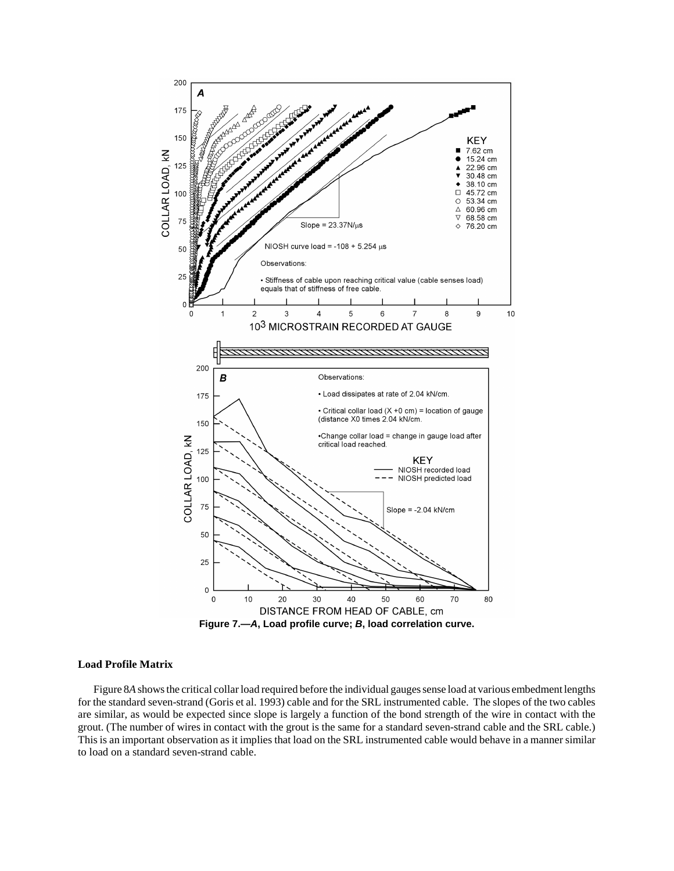

#### **Load Profile Matrix**

Figure 8*A* shows the critical collar load required before the individual gauges sense load at various embedment lengths for the standard seven-strand (Goris et al. 1993) cable and for the SRL instrumented cable. The slopes of the two cables are similar, as would be expected since slope is largely a function of the bond strength of the wire in contact with the grout. (The number of wires in contact with the grout is the same for a standard seven-strand cable and the SRL cable.) This is an important observation as it implies that load on the SRL instrumented cable would behave in a manner similar to load on a standard seven-strand cable.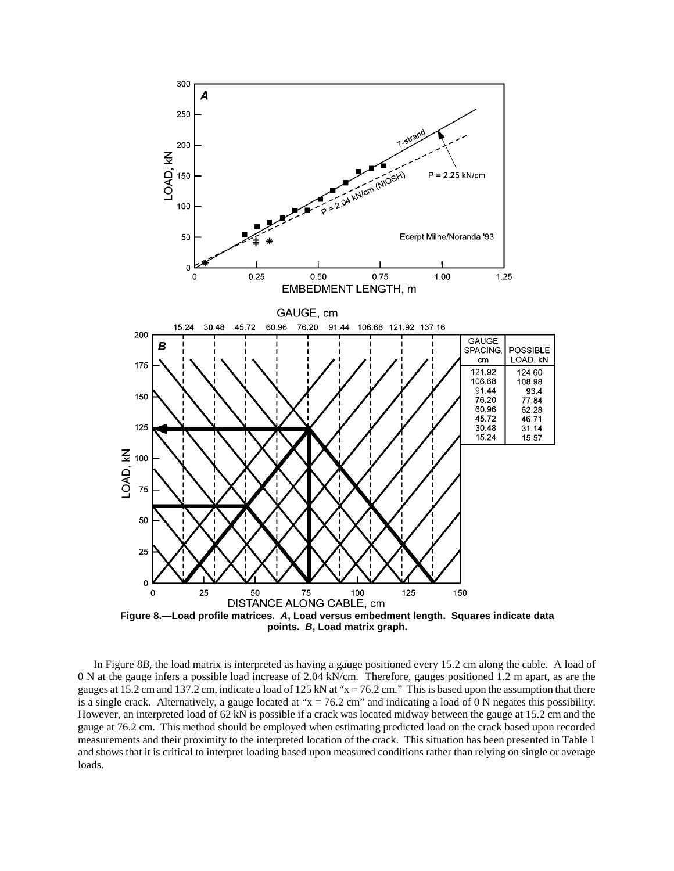

In Figure 8*B,* the load matrix is interpreted as having a gauge positioned every 15.2 cm along the cable. A load of 0 N at the gauge infers a possible load increase of 2.04 kN/cm. Therefore, gauges positioned 1.2 m apart, as are the gauges at 15.2 cm and 137.2 cm, indicate a load of 125 kN at " $x = 76.2$  cm." This is based upon the assumption that there is a single crack. Alternatively, a gauge located at " $x = 76.2$  cm" and indicating a load of 0 N negates this possibility. However, an interpreted load of 62 kN is possible if a crack was located midway between the gauge at 15.2 cm and the gauge at 76.2 cm. This method should be employed when estimating predicted load on the crack based upon recorded measurements and their proximity to the interpreted location of the crack. This situation has been presented in Table 1 and shows that it is critical to interpret loading based upon measured conditions rather than relying on single or average loads.